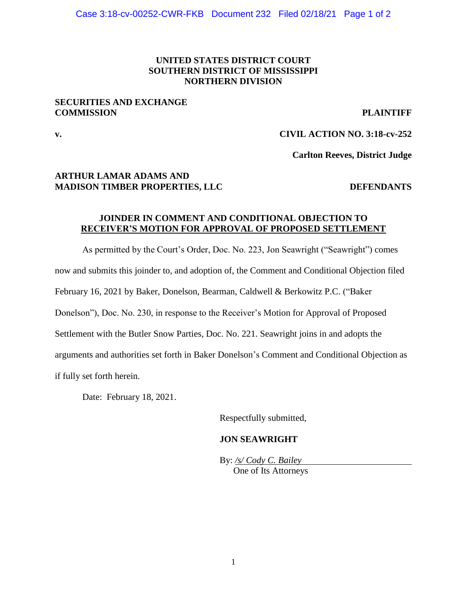### **UNITED STATES DISTRICT COURT SOUTHERN DISTRICT OF MISSISSIPPI NORTHERN DIVISION**

### **SECURITIES AND EXCHANGE COMMISSION PLAINTIFF**

# **v. CIVIL ACTION NO. 3:18-cv-252**

**Carlton Reeves, District Judge**

### **ARTHUR LAMAR ADAMS AND MADISON TIMBER PROPERTIES, LLC DEFENDANTS**

### **JOINDER IN COMMENT AND CONDITIONAL OBJECTION TO RECEIVER'S MOTION FOR APPROVAL OF PROPOSED SETTLEMENT**

As permitted by the Court's Order, Doc. No. 223, Jon Seawright ("Seawright") comes now and submits this joinder to, and adoption of, the Comment and Conditional Objection filed February 16, 2021 by Baker, Donelson, Bearman, Caldwell & Berkowitz P.C. ("Baker Donelson"), Doc. No. 230, in response to the Receiver's Motion for Approval of Proposed Settlement with the Butler Snow Parties, Doc. No. 221. Seawright joins in and adopts the arguments and authorities set forth in Baker Donelson's Comment and Conditional Objection as if fully set forth herein.

Date: February 18, 2021.

Respectfully submitted,

### **JON SEAWRIGHT**

By: */s/ Cody C. Bailey* One of Its Attorneys